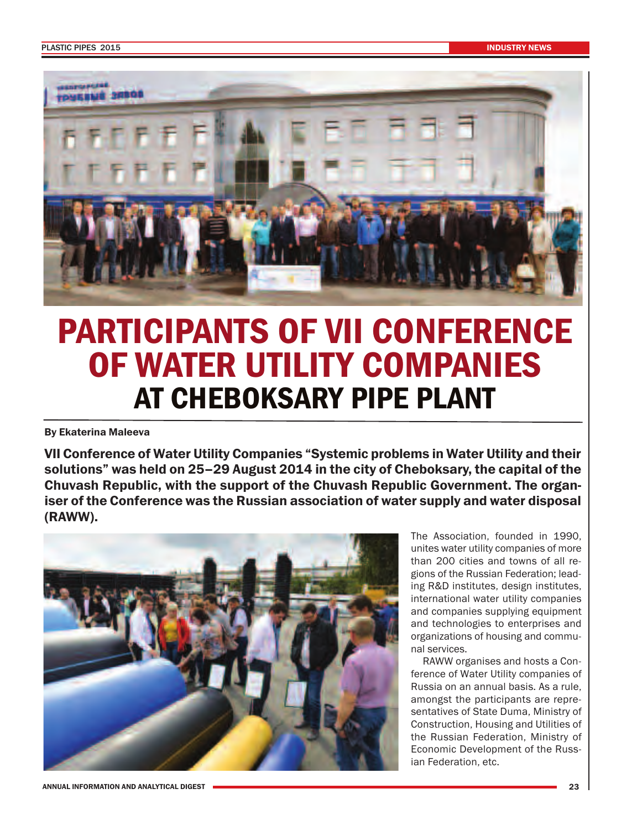

## **PARTICIPANTS OF VII CONFERENCE OF WATER UTILITY COMPANIES AT CHEBOKSARY PIPE PLANT**

**By Ekaterina Maleeva**

**VII Conference of Water Utility Companies "Systemic problems in Water Utility and their solutions" was held on 25–29 August 2014 in the city of Cheboksary, the capital of the Chuvash Republic, with the support of the Chuvash Republic Government. The organiser of the Conference was the Russian association of water supply and water disposal (RAWW).**



The Association, founded in 1990, unites water utility companies of more than 200 cities and towns of all regions of the Russian Federation; leading R&D institutes, design institutes, international water utility companies and companies supplying equipment and technologies to enterprises and organizations of housing and communal services.

RAWW organises and hosts a Conference of Water Utility companies of Russia on an annual basis. As a rule, amongst the participants are representatives of State Duma, Ministry of Construction, Housing and Utilities of the Russian Federation, Ministry of Economic Development of the Russian Federation, etc.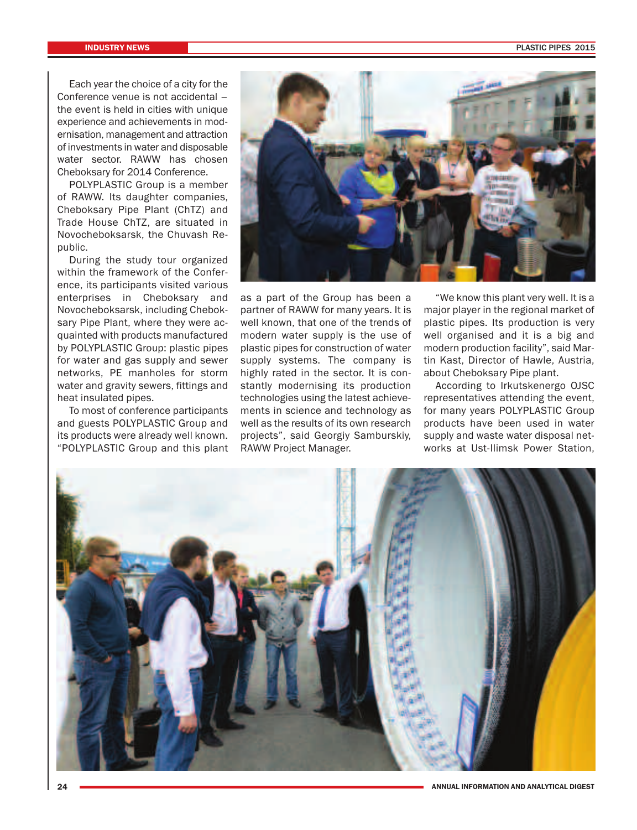Each year the choice of a city for the Conference venue is not accidental – the event is held in cities with unique experience and achievements in modernisation, management and attraction of investments in water and disposable water sector. RAWW has chosen Cheboksary for 2014 Conference.

POLYPLASTIC Group is a member of RAWW. Its daughter companies, Cheboksary Pipe Plant (ChTZ) and Trade House ChTZ, are situated in Novocheboksarsk, the Chuvash Republic.

During the study tour organized within the framework of the Conference, its participants visited various enterprises in Cheboksary and Novocheboksarsk, including Cheboksary Pipe Plant, where they were acquainted with products manufactured by POLYPLASTIC Group: plastic pipes for water and gas supply and sewer networks, PE manholes for storm water and gravity sewers, fittings and heat insulated pipes.

To most of conference participants and guests POLYPLASTIC Group and its products were already well known. "POLYPLASTIC Group and this plant



as a part of the Group has been a partner of RAWW for many years. It is well known, that one of the trends of modern water supply is the use of plastic pipes for construction of water supply systems. The company is highly rated in the sector. It is constantly modernising its production technologies using the latest achievements in science and technology as well as the results of its own research projects", said Georgiy Samburskiy, RAWW Project Manager.

"We know this plant very well. It is a major player in the regional market of plastic pipes. Its production is very well organised and it is a big and modern production facility", said Martin Kast, Director of Hawle, Austria, about Cheboksary Pipe plant.

According to Irkutskenergo OJSC representatives attending the event, for many years POLYPLASTIC Group products have been used in water supply and waste water disposal networks at Ust-Ilimsk Power Station,